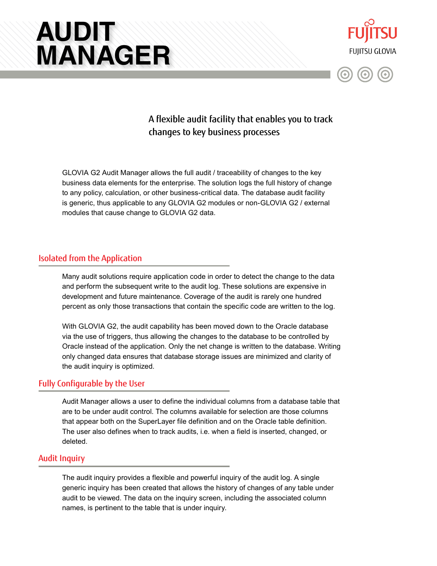# **AUDIT MANAGER**





## A flexible audit facility that enables you to track changes to key business processes

GLOVIA G2 Audit Manager allows the full audit / traceability of changes to the key business data elements for the enterprise. The solution logs the full history of change to any policy, calculation, or other business-critical data. The database audit facility is generic, thus applicable to any GLOVIA G2 modules or non-GLOVIA G2 / external modules that cause change to GLOVIA G2 data.

#### Isolated from the Application

Many audit solutions require application code in order to detect the change to the data and perform the subsequent write to the audit log. These solutions are expensive in development and future maintenance. Coverage of the audit is rarely one hundred percent as only those transactions that contain the specific code are written to the log.

With GLOVIA G2, the audit capability has been moved down to the Oracle database via the use of triggers, thus allowing the changes to the database to be controlled by Oracle instead of the application. Only the net change is written to the database. Writing only changed data ensures that database storage issues are minimized and clarity of the audit inquiry is optimized.

#### Fully Configurable by the User

Audit Manager allows a user to define the individual columns from a database table that are to be under audit control. The columns available for selection are those columns that appear both on the SuperLayer file definition and on the Oracle table definition. The user also defines when to track audits, i.e. when a field is inserted, changed, or deleted.

#### Audit Inquiry

The audit inquiry provides a flexible and powerful inquiry of the audit log. A single generic inquiry has been created that allows the history of changes of any table under audit to be viewed. The data on the inquiry screen, including the associated column names, is pertinent to the table that is under inquiry.